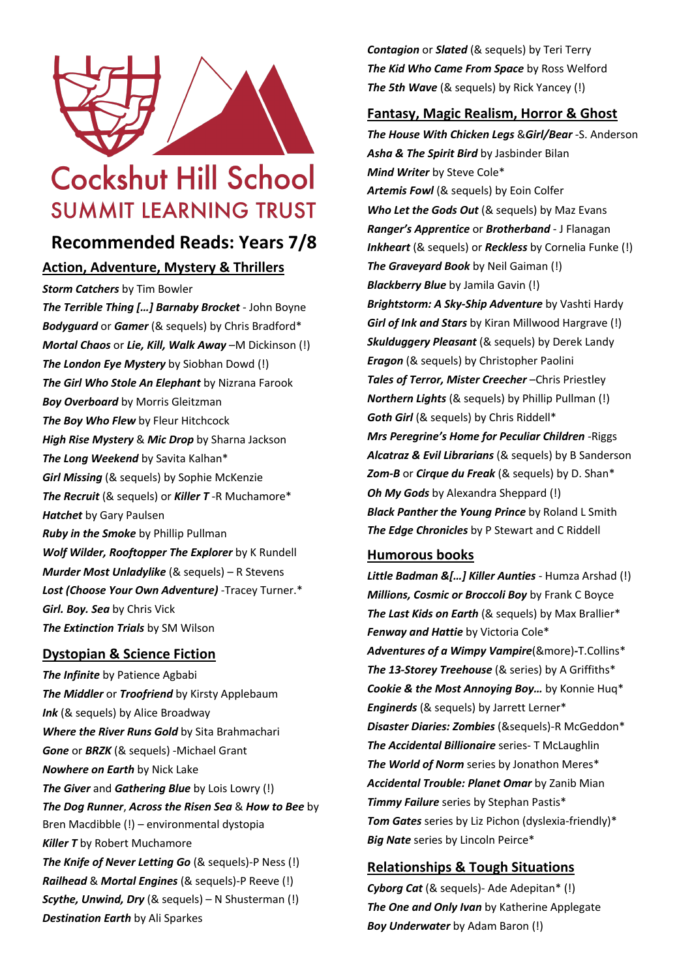

# **Cockshut Hill School SUMMIT LEARNING TRUST**

## **Recommended Reads: Years 7/8**

## **Action, Adventure, Mystery & Thrillers**

*Storm Catchers* by Tim Bowler

*The Terrible Thing […] Barnaby Brocket* - John Boyne *Bodyguard* or *Gamer* (& sequels) by Chris Bradford\* *Mortal Chaos* or *Lie, Kill, Walk Away* –M Dickinson (!) *The London Eye Mystery* by Siobhan Dowd (!) *The Girl Who Stole An Elephant* by Nizrana Farook *Boy Overboard* by Morris Gleitzman *The Boy Who Flew* by Fleur Hitchcock *High Rise Mystery* & *Mic Drop* by Sharna Jackson *The Long Weekend* by Savita Kalhan\* *Girl Missing* (& sequels) by Sophie McKenzie *The Recruit* (& sequels) or *Killer T* -R Muchamore\* *Hatchet* by Gary Paulsen *Ruby in the Smoke* by Phillip Pullman *Wolf Wilder, Rooftopper The Explorer* by K Rundell *Murder Most Unladylike* (& sequels) – R Stevens *Lost (Choose Your Own Adventure)* -Tracey Turner.\* *Girl. Boy. Sea* by Chris Vick *The Extinction Trials* by SM Wilson

## **Dystopian & Science Fiction**

*The Infinite* by Patience Agbabi *The Middler* or *Troofriend* by Kirsty Applebaum *Ink* (& sequels) by Alice Broadway *Where the River Runs Gold* by Sita Brahmachari *Gone* or *BRZK* (& sequels) -Michael Grant *Nowhere on Earth* by Nick Lake *The Giver* and *Gathering Blue* by Lois Lowry (!) *The Dog Runner*, *Across the Risen Sea* & *How to Bee* by Bren Macdibble (!) – environmental dystopia *Killer T* by Robert Muchamore *The Knife of Never Letting Go* (& sequels)-P Ness (!) *Railhead* & *Mortal Engines* (& sequels)-P Reeve (!) *Scythe, Unwind, Dry* (& sequels) – N Shusterman (!) *Destination Earth* by Ali Sparkes

*Contagion* or *Slated* (& sequels) by Teri Terry *The Kid Who Came From Space* by Ross Welford *The 5th Wave* (& sequels) by Rick Yancey (!)

## **Fantasy, Magic Realism, Horror & Ghost**

*The House With Chicken Legs* &*Girl/Bear* -S. Anderson *Asha & The Spirit Bird* by Jasbinder Bilan *Mind Writer* by Steve Cole\* *Artemis Fowl* (& sequels) by Eoin Colfer *Who Let the Gods Out* (& sequels) by Maz Evans *Ranger's Apprentice* or *Brotherband* - J Flanagan *Inkheart* (& sequels) or *Reckless* by Cornelia Funke (!) *The Graveyard Book* by Neil Gaiman (!) *Blackberry Blue* by Jamila Gavin (!) *Brightstorm: A Sky-Ship Adventure* by Vashti Hardy *Girl of Ink and Stars* by Kiran Millwood Hargrave (!) *Skulduggery Pleasant* (& sequels) by Derek Landy *Eragon* (& sequels) by Christopher Paolini *Tales of Terror, Mister Creecher* –Chris Priestley *Northern Lights* (& sequels) by Phillip Pullman (!) *Goth Girl* (& sequels) by Chris Riddell\* *Mrs Peregrine's Home for Peculiar Children -*Riggs *Alcatraz & Evil Librarians* (& sequels) by B Sanderson *Zom-B* or *Cirque du Freak* (& sequels) by D. Shan\* *Oh My Gods* by Alexandra Sheppard (!) *Black Panther the Young Prince* by Roland L Smith *The Edge Chronicles* by P Stewart and C Riddell

## **Humorous books**

*Little Badman &[…] Killer Aunties* - Humza Arshad (!) *Millions, Cosmic or Broccoli Boy* by Frank C Boyce *The Last Kids on Earth* (& sequels) by Max Brallier\* *Fenway and Hattie* by Victoria Cole\* *Adventures of a Wimpy Vampire*(&more)*-*T.Collins\* *The 13-Storey Treehouse* (& series) by A Griffiths\* *Cookie & the Most Annoying Boy…* by Konnie Huq\* *Enginerds* (& sequels) by Jarrett Lerner\* *Disaster Diaries: Zombies* (&sequels)-R McGeddon\* *The Accidental Billionaire* series- T McLaughlin *The World of Norm* series by Jonathon Meres\* *Accidental Trouble: Planet Omar* by Zanib Mian *Timmy Failure* series by Stephan Pastis\* *Tom Gates* series by Liz Pichon (dyslexia-friendly)\* *Big Nate* series by Lincoln Peirce\*

## **Relationships & Tough Situations**

*Cyborg Cat* (& sequels)- Ade Adepitan\* (!) *The One and Only Ivan* by Katherine Applegate *Boy Underwater* by Adam Baron (!)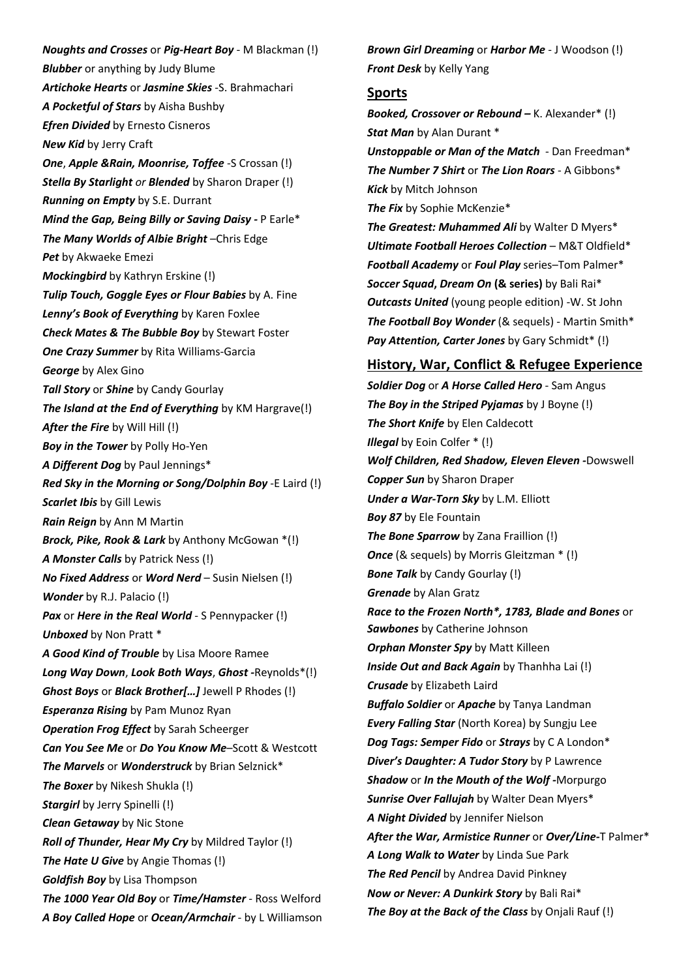*Noughts and Crosses* or *Pig-Heart Boy* - M Blackman (!) *Blubber* or anything by Judy Blume *Artichoke Hearts* or *Jasmine Skies* -S. Brahmachari *A Pocketful of Stars* by Aisha Bushby *Efren Divided* by Ernesto Cisneros *New Kid* by Jerry Craft *One*, *Apple &Rain, Moonrise, Toffee* -S Crossan (!) *Stella By Starlight or Blended* by Sharon Draper (!) *Running on Empty* by S.E. Durrant *Mind the Gap, Being Billy or Saving Daisy -* P Earle\* *The Many Worlds of Albie Bright* –Chris Edge *Pet* by Akwaeke Emezi *Mockingbird* by Kathryn Erskine (!) *Tulip Touch, Goggle Eyes or Flour Babies* by A. Fine *Lenny's Book of Everything* by Karen Foxlee *Check Mates & The Bubble Boy* by Stewart Foster *One Crazy Summer* by Rita Williams-Garcia *George* by Alex Gino *Tall Story* or *Shine* by Candy Gourlay *The Island at the End of Everything* by KM Hargrave(!) *After the Fire* by Will Hill (!) *Boy in the Tower* by Polly Ho-Yen *A Different Dog* by Paul Jennings\* *Red Sky in the Morning or Song/Dolphin Boy* -E Laird (!) *Scarlet Ibis* by Gill Lewis *Rain Reign* by Ann M Martin *Brock, Pike, Rook & Lark* by Anthony McGowan \*(!) *A Monster Calls* by Patrick Ness (!) *No Fixed Address* or *Word Nerd* – Susin Nielsen (!) *Wonder* by R.J. Palacio (!) *Pax* or *Here in the Real World* - S Pennypacker (!) *Unboxed* by Non Pratt \* *A Good Kind of Trouble* by Lisa Moore Ramee *Long Way Down*, *Look Both Ways*, *Ghost -*Reynolds\*(!) *Ghost Boys* or *Black Brother[…]* Jewell P Rhodes (!) *Esperanza Rising* by Pam Munoz Ryan *Operation Frog Effect* by Sarah Scheerger *Can You See Me* or *Do You Know Me*–Scott & Westcott *The Marvels* or *Wonderstruck* by Brian Selznick\* *The Boxer* by Nikesh Shukla (!) *Stargirl* by Jerry Spinelli (!) *Clean Getaway* by Nic Stone *Roll of Thunder, Hear My Cry* by Mildred Taylor (!) *The Hate U Give* by Angie Thomas (!) *Goldfish Boy* by Lisa Thompson *The 1000 Year Old Boy* or *Time/Hamster* - Ross Welford *A Boy Called Hope* or *Ocean/Armchair* - by L Williamson *Brown Girl Dreaming* or *Harbor Me* - J Woodson (!) *Front Desk* by Kelly Yang

#### **Sports**

*Booked, Crossover or Rebound –* K. Alexander\* (!) **Stat Man** by Alan Durant \* *Unstoppable or Man of the Match* - Dan Freedman\* *The Number 7 Shirt* or *The Lion Roars* - A Gibbons\* *Kick* by Mitch Johnson *The Fix* by Sophie McKenzie\* *The Greatest: Muhammed Ali* by Walter D Myers\* *Ultimate Football Heroes Collection* – M&T Oldfield\* *Football Academy* or *Foul Play* series–Tom Palmer\* *Soccer Squad***,** *Dream On* **(& series)** by Bali Rai\* *Outcasts United* (young people edition) -W. St John *The Football Boy Wonder* (& sequels) - Martin Smith\* *Pay Attention, Carter Jones* by Gary Schmidt\* (!)

#### **History, War, Conflict & Refugee Experience**

*Soldier Dog* or *A Horse Called Hero* - Sam Angus *The Boy in the Striped Pyjamas* by J Boyne (!) *The Short Knife* by Elen Caldecott *Illegal* by Eoin Colfer \* (!) *Wolf Children, Red Shadow, Eleven Eleven -*Dowswell *Copper Sun* by Sharon Draper *Under a War-Torn Sky* by L.M. Elliott *Boy 87* by Ele Fountain *The Bone Sparrow* by Zana Fraillion (!) *Once* (& sequels) by Morris Gleitzman \* (!) *Bone Talk* by Candy Gourlay (!) *Grenade* by Alan Gratz *Race to the Frozen North\*, 1783, Blade and Bones* or *Sawbones* by Catherine Johnson *Orphan Monster Spy* by Matt Killeen *Inside Out and Back Again* by Thanhha Lai (!) *Crusade* by Elizabeth Laird *Buffalo Soldier* or *Apache* by Tanya Landman *Every Falling Star* (North Korea) by Sungju Lee *Dog Tags: Semper Fido* or *Strays* by C A London\* *Diver's Daughter: A Tudor Story* by P Lawrence *Shadow* or *In the Mouth of the Wolf -*Morpurgo *Sunrise Over Fallujah* by Walter Dean Myers\* *A Night Divided* by Jennifer Nielson *After the War, Armistice Runner* or *Over/Line-*T Palmer\* *A Long Walk to Water* by Linda Sue Park *The Red Pencil* by Andrea David Pinkney *Now or Never: A Dunkirk Story* by Bali Rai\* *The Boy at the Back of the Class* by Onjali Rauf (!)